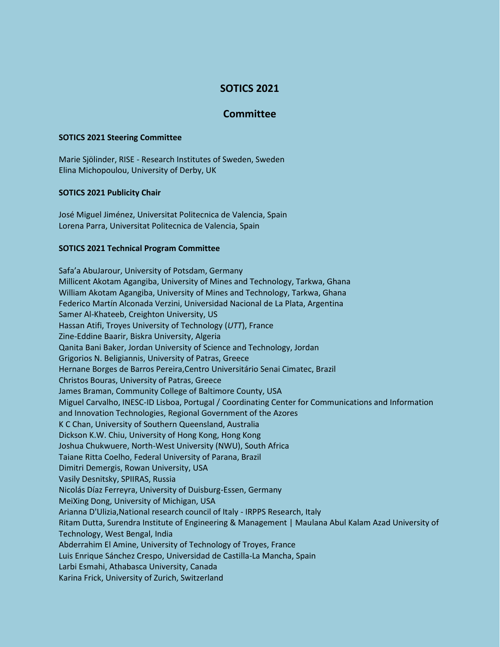# **SOTICS 2021**

## **Committee**

#### **SOTICS 2021 Steering Committee**

Marie Sjölinder, RISE - Research Institutes of Sweden, Sweden Elina Michopoulou, University of Derby, UK

### **SOTICS 2021 Publicity Chair**

José Miguel Jiménez, Universitat Politecnica de Valencia, Spain Lorena Parra, Universitat Politecnica de Valencia, Spain

#### **SOTICS 2021 Technical Program Committee**

Safa'a AbuJarour, University of Potsdam, Germany Millicent Akotam Agangiba, University of Mines and Technology, Tarkwa, Ghana William Akotam Agangiba, University of Mines and Technology, Tarkwa, Ghana Federico Martín Alconada Verzini, Universidad Nacional de La Plata, Argentina Samer Al-Khateeb, Creighton University, US Hassan Atifi, Troyes University of Technology (*UTT*), France Zine-Eddine Baarir, Biskra University, Algeria Qanita Bani Baker, Jordan University of Science and Technology, Jordan Grigorios N. Beligiannis, University of Patras, Greece Hernane Borges de Barros Pereira,Centro Universitário Senai Cimatec, Brazil Christos Bouras, University of Patras, Greece James Braman, Community College of Baltimore County, USA Miguel Carvalho, INESC-ID Lisboa, Portugal / Coordinating Center for Communications and Information and Innovation Technologies, Regional Government of the Azores K C Chan, University of Southern Queensland, Australia Dickson K.W. Chiu, University of Hong Kong, Hong Kong Joshua Chukwuere, North-West University (NWU), South Africa Taiane Ritta Coelho, Federal University of Parana, Brazil Dimitri Demergis, Rowan University, USA Vasily Desnitsky, SPIIRAS, Russia Nicolás Díaz Ferreyra, University of Duisburg-Essen, Germany MeiXing Dong, University of Michigan, USA Arianna D'Ulizia,National research council of Italy - IRPPS Research, Italy Ritam Dutta, Surendra Institute of Engineering & Management | Maulana Abul Kalam Azad University of Technology, West Bengal, India Abderrahim El Amine, University of Technology of Troyes, France Luis Enrique Sánchez Crespo, Universidad de Castilla-La Mancha, Spain Larbi Esmahi, Athabasca University, Canada Karina Frick, University of Zurich, Switzerland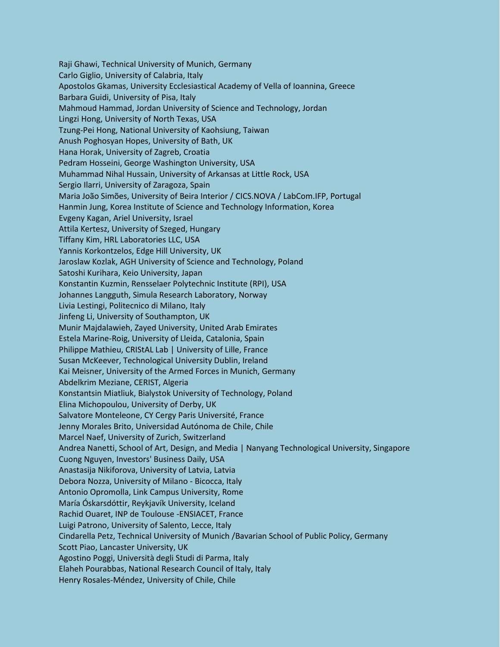Raji Ghawi, Technical University of Munich, Germany Carlo Giglio, University of Calabria, Italy Apostolos Gkamas, University Ecclesiastical Academy of Vella of Ioannina, Greece Barbara Guidi, University of Pisa, Italy Mahmoud Hammad, Jordan University of Science and Technology, Jordan Lingzi Hong, University of North Texas, USA Tzung-Pei Hong, National University of Kaohsiung, Taiwan Anush Poghosyan Hopes, University of Bath, UK Hana Horak, University of Zagreb, Croatia Pedram Hosseini, George Washington University, USA Muhammad Nihal Hussain, University of Arkansas at Little Rock, USA Sergio Ilarri, University of Zaragoza, Spain Maria João Simões, University of Beira Interior / CICS.NOVA / LabCom.IFP, Portugal Hanmin Jung, Korea Institute of Science and Technology Information, Korea Evgeny Kagan, Ariel University, Israel Attila Kertesz, University of Szeged, Hungary Tiffany Kim, HRL Laboratories LLC, USA Yannis Korkontzelos, Edge Hill University, UK Jaroslaw Kozlak, AGH University of Science and Technology, Poland Satoshi Kurihara, Keio University, Japan Konstantin Kuzmin, Rensselaer Polytechnic Institute (RPI), USA Johannes Langguth, Simula Research Laboratory, Norway Livia Lestingi, Politecnico di Milano, Italy Jinfeng Li, University of Southampton, UK Munir Majdalawieh, Zayed University, United Arab Emirates Estela Marine-Roig, University of Lleida, Catalonia, Spain Philippe Mathieu, CRIStAL Lab | University of Lille, France Susan McKeever, Technological University Dublin, Ireland Kai Meisner, University of the Armed Forces in Munich, Germany Abdelkrim Meziane, CERIST, Algeria Konstantsin Miatliuk, Bialystok University of Technology, Poland Elina Michopoulou, University of Derby, UK Salvatore Monteleone, CY Cergy Paris Université, France Jenny Morales Brito, Universidad Autónoma de Chile, Chile Marcel Naef, University of Zurich, Switzerland Andrea Nanetti, School of Art, Design, and Media | Nanyang Technological University, Singapore Cuong Nguyen, Investors' Business Daily, USA Anastasija Nikiforova, University of Latvia, Latvia Debora Nozza, University of Milano - Bicocca, Italy Antonio Opromolla, Link Campus University, Rome María Óskarsdóttir, Reykjavík University, Iceland Rachid Ouaret, INP de Toulouse -ENSIACET, France Luigi Patrono, University of Salento, Lecce, Italy Cindarella Petz, Technical University of Munich /Bavarian School of Public Policy, Germany Scott Piao, Lancaster University, UK Agostino Poggi, Università degli Studi di Parma, Italy Elaheh Pourabbas, National Research Council of Italy, Italy Henry Rosales-Méndez, University of Chile, Chile